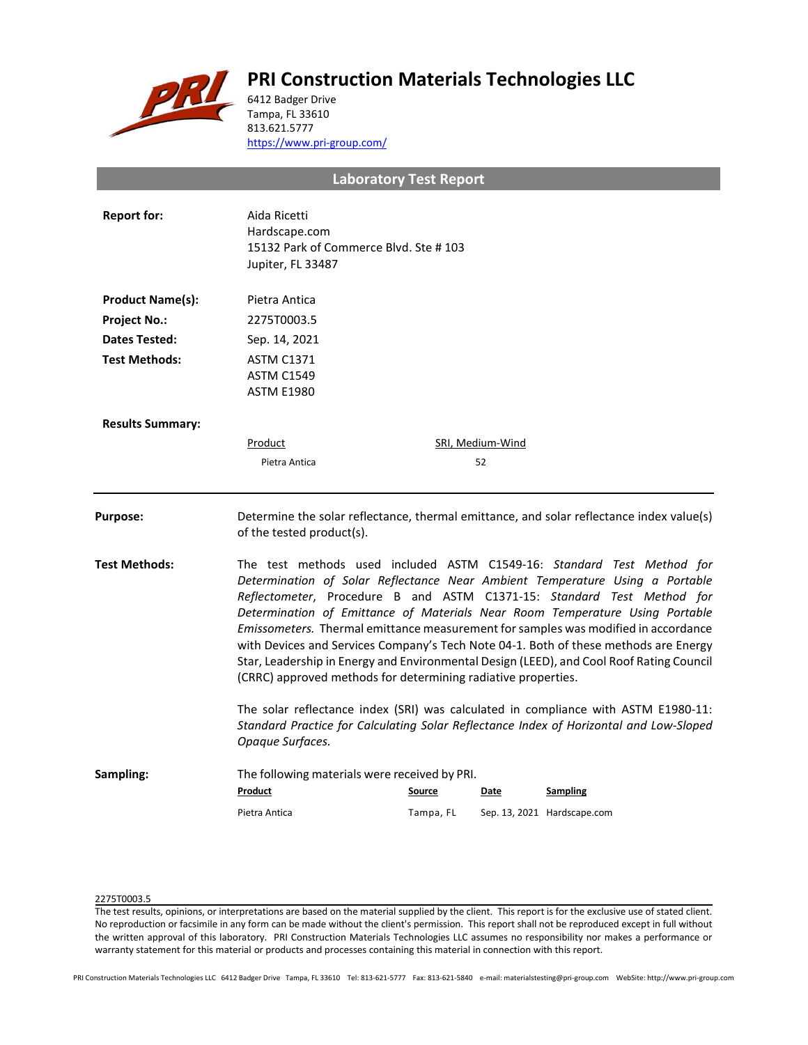# **PRI Construction Materials Technologies LLC**



6412 Badger Drive Tampa, FL 33610 813.621.5777 <https://www.pri-group.com/>

**Laboratory Test Report**

| <b>Report for:</b>      | Aida Ricetti<br>Hardscape.com<br>15132 Park of Commerce Blvd. Ste #103<br>Jupiter, FL 33487                                                                                                                                                                                                                                                                                                                                                                                                                                                                                                                                                                 |           |                  |                                                                                          |  |
|-------------------------|-------------------------------------------------------------------------------------------------------------------------------------------------------------------------------------------------------------------------------------------------------------------------------------------------------------------------------------------------------------------------------------------------------------------------------------------------------------------------------------------------------------------------------------------------------------------------------------------------------------------------------------------------------------|-----------|------------------|------------------------------------------------------------------------------------------|--|
| <b>Product Name(s):</b> | Pietra Antica                                                                                                                                                                                                                                                                                                                                                                                                                                                                                                                                                                                                                                               |           |                  |                                                                                          |  |
| <b>Project No.:</b>     | 2275T0003.5                                                                                                                                                                                                                                                                                                                                                                                                                                                                                                                                                                                                                                                 |           |                  |                                                                                          |  |
| Dates Tested:           | Sep. 14, 2021                                                                                                                                                                                                                                                                                                                                                                                                                                                                                                                                                                                                                                               |           |                  |                                                                                          |  |
| <b>Test Methods:</b>    | <b>ASTM C1371</b><br><b>ASTM C1549</b><br><b>ASTM E1980</b>                                                                                                                                                                                                                                                                                                                                                                                                                                                                                                                                                                                                 |           |                  |                                                                                          |  |
| <b>Results Summary:</b> |                                                                                                                                                                                                                                                                                                                                                                                                                                                                                                                                                                                                                                                             |           |                  |                                                                                          |  |
|                         | Product                                                                                                                                                                                                                                                                                                                                                                                                                                                                                                                                                                                                                                                     |           | SRI, Medium-Wind |                                                                                          |  |
|                         | Pietra Antica                                                                                                                                                                                                                                                                                                                                                                                                                                                                                                                                                                                                                                               |           | 52               |                                                                                          |  |
| <b>Purpose:</b>         | of the tested product(s).                                                                                                                                                                                                                                                                                                                                                                                                                                                                                                                                                                                                                                   |           |                  | Determine the solar reflectance, thermal emittance, and solar reflectance index value(s) |  |
| <b>Test Methods:</b>    | The test methods used included ASTM C1549-16: Standard Test Method for<br>Determination of Solar Reflectance Near Ambient Temperature Using a Portable<br>Reflectometer, Procedure B and ASTM C1371-15: Standard Test Method for<br>Determination of Emittance of Materials Near Room Temperature Using Portable<br>Emissometers. Thermal emittance measurement for samples was modified in accordance<br>with Devices and Services Company's Tech Note 04-1. Both of these methods are Energy<br>Star, Leadership in Energy and Environmental Design (LEED), and Cool Roof Rating Council<br>(CRRC) approved methods for determining radiative properties. |           |                  |                                                                                          |  |
|                         | The solar reflectance index (SRI) was calculated in compliance with ASTM E1980-11:<br>Standard Practice for Calculating Solar Reflectance Index of Horizontal and Low-Sloped<br>Opaque Surfaces.                                                                                                                                                                                                                                                                                                                                                                                                                                                            |           |                  |                                                                                          |  |
| Sampling:               | The following materials were received by PRI.<br>Product                                                                                                                                                                                                                                                                                                                                                                                                                                                                                                                                                                                                    | Source    | Date             | <b>Sampling</b>                                                                          |  |
|                         | Pietra Antica                                                                                                                                                                                                                                                                                                                                                                                                                                                                                                                                                                                                                                               | Tampa, FL |                  | Sep. 13, 2021 Hardscape.com                                                              |  |

## 2275T0003.5

The test results, opinions, or interpretations are based on the material supplied by the client. This report is for the exclusive use of stated client. No reproduction or facsimile in any form can be made without the client's permission. This report shall not be reproduced except in full without the written approval of this laboratory. PRI Construction Materials Technologies LLC assumes no responsibility nor makes a performance or warranty statement for this material or products and processes containing this material in connection with this report.

PRI Construction Materials Technologies LLC 6412 Badger Drive Tampa, FL 33610 Tel: 813-621-5777 Fax: 813-621-5840 e-mail: materialstesting@pri-group.com WebSite: http://www.pri-group.com